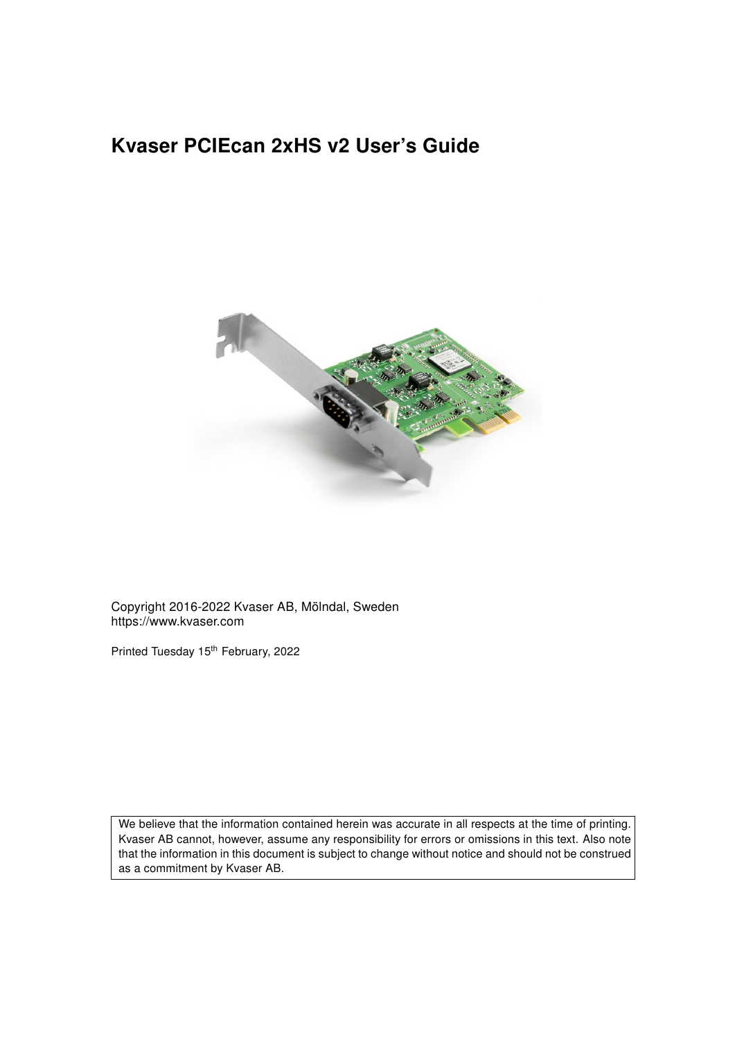# Kvaser PCIEcan 2xHS v2 User's Guide



Copyright 2016-2022 Kvaser AB, Mölndal, Sweden https://www.kvaser.com

Printed Tuesday 15<sup>th</sup> February, 2022

We believe that the information contained herein was accurate in all respects at the time of printing. Kvaser AB cannot, however, assume any responsibility for errors or omissions in this text. Also note that the information in this document is subject to change without notice and should not be construed as a commitment by Kvaser AB.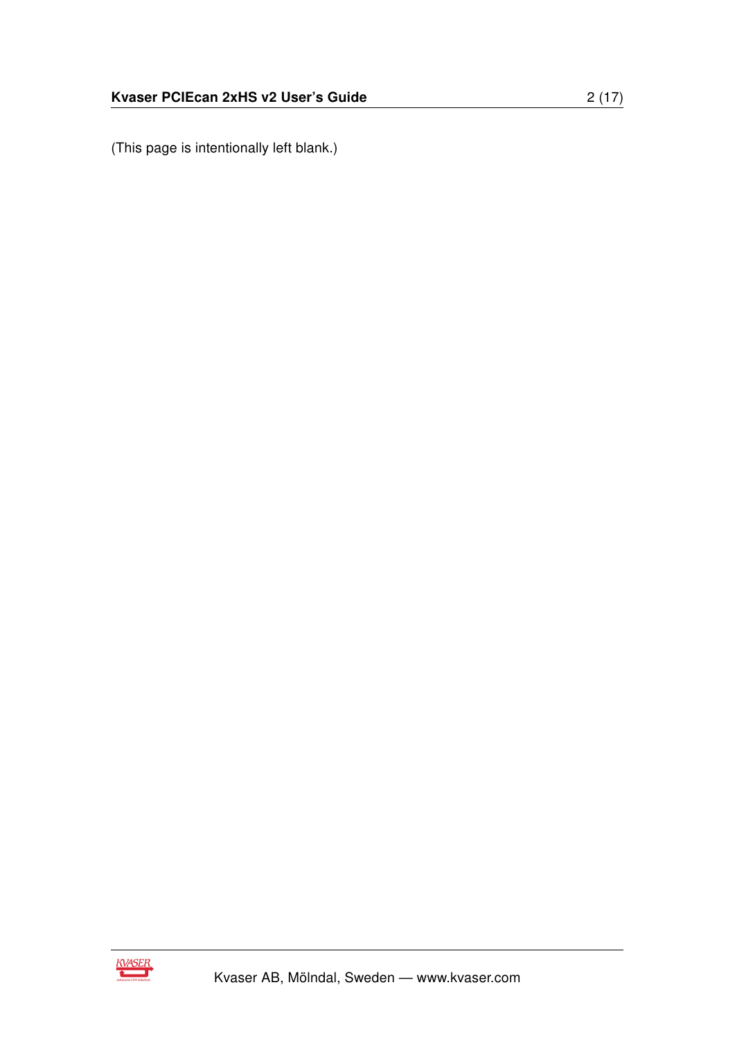(This page is intentionally left blank.)



Kvaser AB, Mölndal, Sweden — www.kvaser.com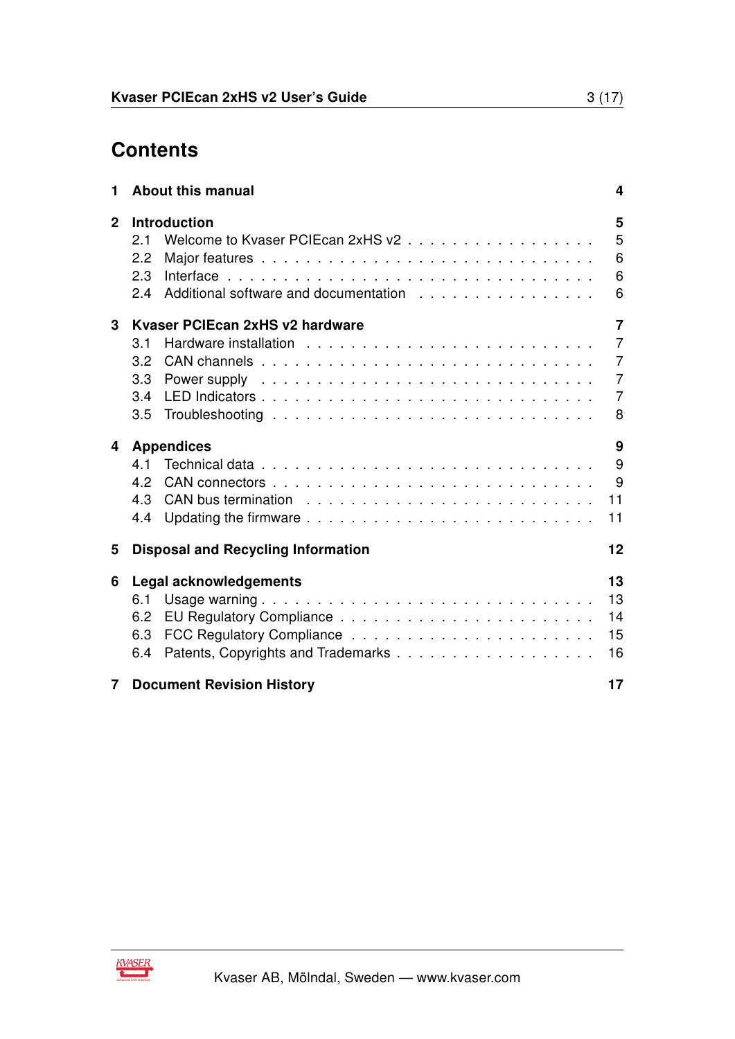# **Contents**

| 1              |                                 | <b>About this manual</b><br>4                                                                                                                                                                                                  |                |  |  |  |  |  |
|----------------|---------------------------------|--------------------------------------------------------------------------------------------------------------------------------------------------------------------------------------------------------------------------------|----------------|--|--|--|--|--|
| $\overline{2}$ |                                 | <b>Introduction</b>                                                                                                                                                                                                            |                |  |  |  |  |  |
|                | 2.1                             |                                                                                                                                                                                                                                | 5              |  |  |  |  |  |
|                | $2.2\phantom{0}$                |                                                                                                                                                                                                                                | 6              |  |  |  |  |  |
|                | 2.3                             |                                                                                                                                                                                                                                | 6              |  |  |  |  |  |
|                | 2.4                             | Additional software and documentation                                                                                                                                                                                          | 6              |  |  |  |  |  |
| 3              | Kvaser PCIEcan 2xHS v2 hardware |                                                                                                                                                                                                                                |                |  |  |  |  |  |
|                | 3.1                             |                                                                                                                                                                                                                                | $\overline{7}$ |  |  |  |  |  |
|                | 3.2                             |                                                                                                                                                                                                                                | $\overline{7}$ |  |  |  |  |  |
|                | 3.3                             | Power supply received a series of the contract of the contract of the contract of the contract of the contract of the contract of the contract of the contract of the contract of the contract of the contract of the contract | $\overline{7}$ |  |  |  |  |  |
|                | 3.4                             |                                                                                                                                                                                                                                | $\overline{7}$ |  |  |  |  |  |
|                | 3.5                             |                                                                                                                                                                                                                                | 8              |  |  |  |  |  |
| 4              | <b>Appendices</b>               |                                                                                                                                                                                                                                |                |  |  |  |  |  |
|                | 4.1                             |                                                                                                                                                                                                                                | 9              |  |  |  |  |  |
|                | 4.2                             |                                                                                                                                                                                                                                | 9              |  |  |  |  |  |
|                | 4.3                             |                                                                                                                                                                                                                                | 11             |  |  |  |  |  |
|                | 4.4                             |                                                                                                                                                                                                                                | 11             |  |  |  |  |  |
| 5              |                                 | <b>Disposal and Recycling Information</b>                                                                                                                                                                                      | 12             |  |  |  |  |  |
| 6              |                                 | <b>Legal acknowledgements</b>                                                                                                                                                                                                  | 13             |  |  |  |  |  |
|                | 6.1                             |                                                                                                                                                                                                                                | 13             |  |  |  |  |  |
|                | 6.2                             |                                                                                                                                                                                                                                | 14             |  |  |  |  |  |
|                | 6.3                             |                                                                                                                                                                                                                                | 15             |  |  |  |  |  |
|                | 6.4                             |                                                                                                                                                                                                                                | 16             |  |  |  |  |  |
| $\overline{7}$ |                                 | <b>Document Revision History</b>                                                                                                                                                                                               | 17             |  |  |  |  |  |

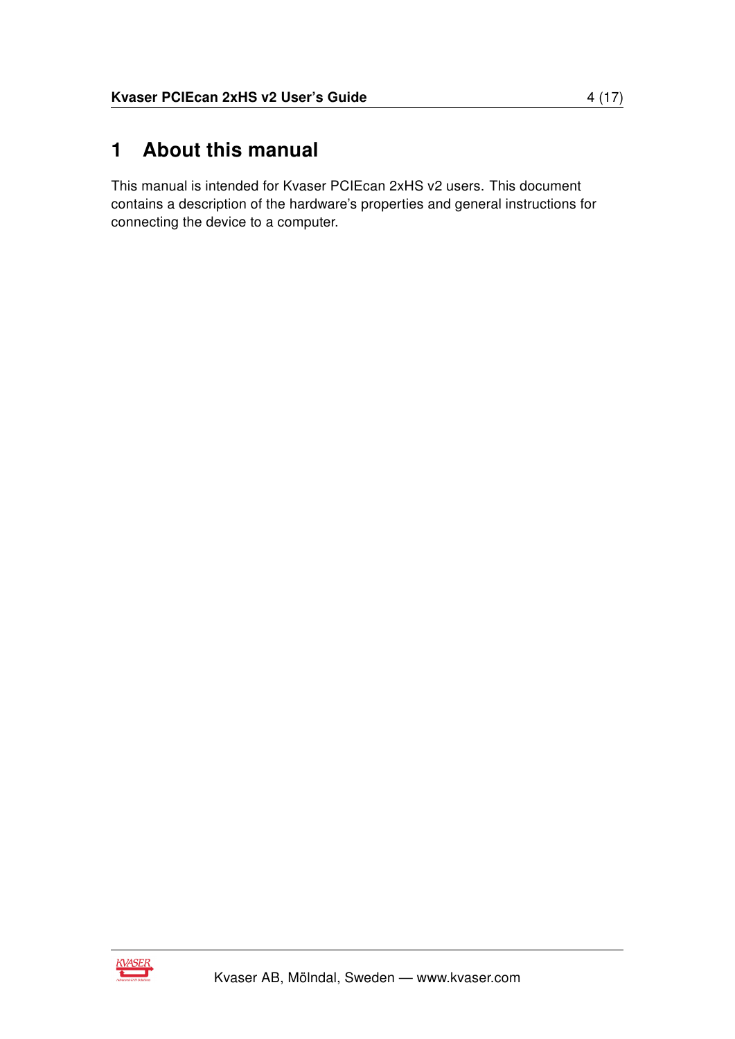# <span id="page-3-0"></span>1 About this manual

This manual is intended for Kvaser PCIEcan 2xHS v2 users. This document contains a description of the hardware's properties and general instructions for connecting the device to a computer.

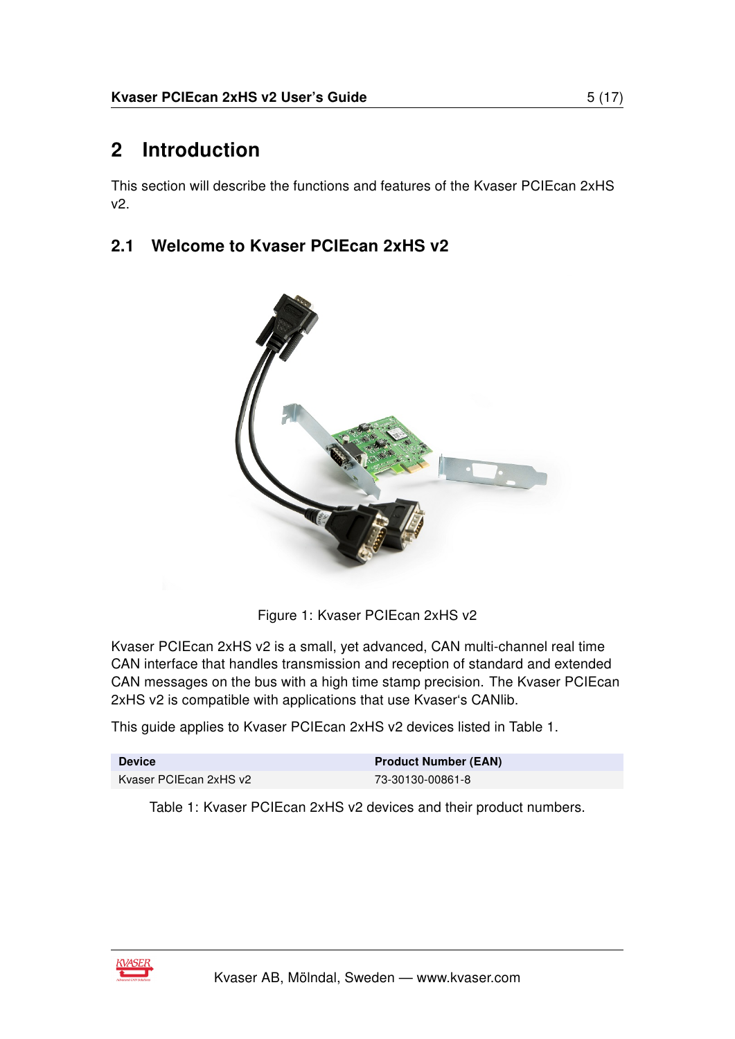# <span id="page-4-0"></span>2 Introduction

This section will describe the functions and features of the Kvaser PCIEcan 2xHS v2.

### <span id="page-4-1"></span>2.1 Welcome to Kvaser PCIEcan 2xHS v2



Figure 1: Kvaser PCIEcan 2xHS v2

Kvaser PCIEcan 2xHS v2 is a small, yet advanced, CAN multi-channel real time CAN interface that handles transmission and reception of standard and extended CAN messages on the bus with a high time stamp precision. The Kvaser PCIEcan 2xHS v2 is compatible with applications that use Kvaser's CANlib.

This guide applies to Kvaser PCIEcan 2xHS v2 devices listed in [Table 1.](#page-4-2)

| <b>Device</b>          | <b>Product Number (EAN)</b> |
|------------------------|-----------------------------|
| Kvaser PCIEcan 2xHS v2 | 73-30130-00861-8            |

<span id="page-4-2"></span>Table 1: Kvaser PCIEcan 2xHS v2 devices and their product numbers.

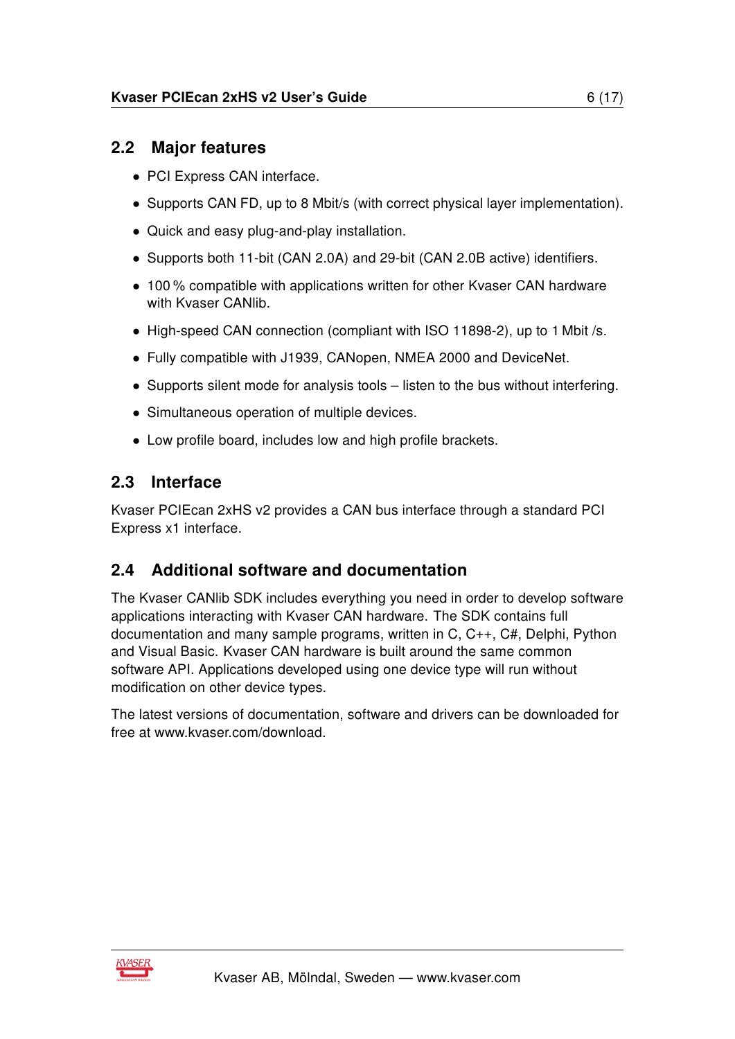#### <span id="page-5-0"></span>2.2 Major features

- PCI Express CAN interface.
- Supports CAN FD, up to 8 Mbit/s (with correct physical layer implementation).
- Quick and easy plug-and-play installation.
- Supports both 11-bit (CAN 2.0A) and 29-bit (CAN 2.0B active) identifiers.
- 100 % compatible with applications written for other Kvaser CAN hardware with Kvaser CANlib.
- High-speed CAN connection (compliant with ISO 11898-2), up to 1 Mbit /s.
- Fully compatible with J1939, CANopen, NMEA 2000 and DeviceNet.
- Supports silent mode for analysis tools listen to the bus without interfering.
- Simultaneous operation of multiple devices.
- Low profile board, includes low and high profile brackets.

### <span id="page-5-1"></span>2.3 Interface

Kvaser PCIEcan 2xHS v2 provides a CAN bus interface through a standard PCI Express x1 interface.

### <span id="page-5-2"></span>2.4 Additional software and documentation

The Kvaser CANlib SDK includes everything you need in order to develop software applications interacting with Kvaser CAN hardware. The SDK contains full documentation and many sample programs, written in C, C++, C#, Delphi, Python and Visual Basic. Kvaser CAN hardware is built around the same common software API. Applications developed using one device type will run without modification on other device types.

The latest versions of documentation, software and drivers can be downloaded for free at [www.kvaser.com/download.](https://www.kvaser.com/download/)

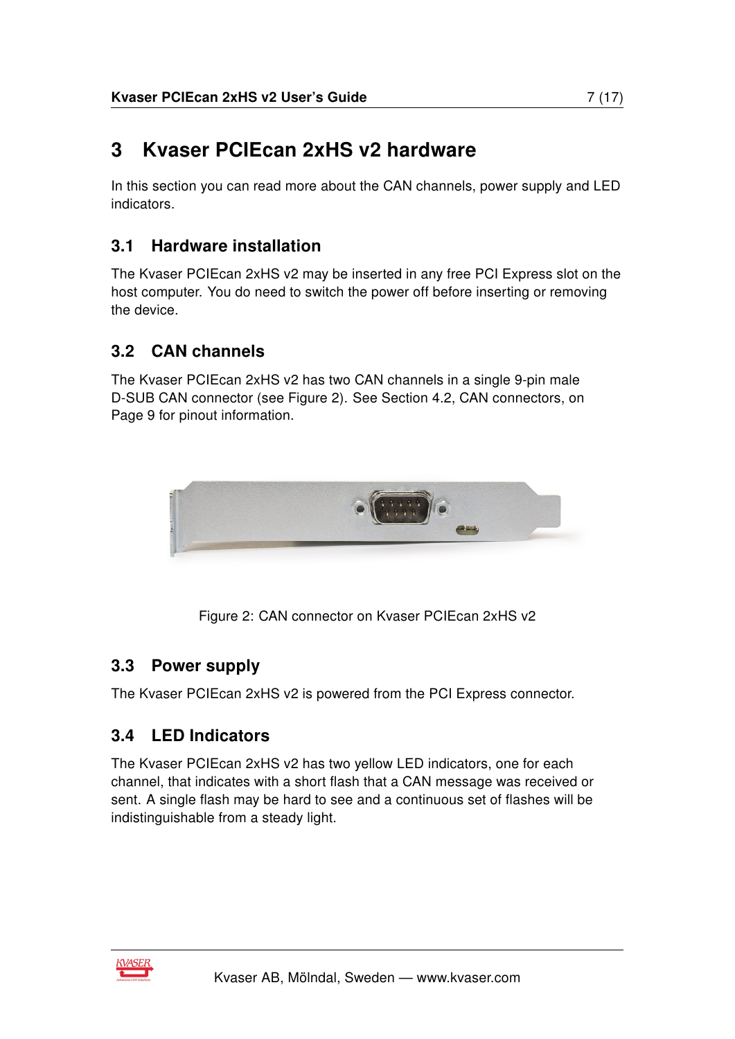# <span id="page-6-0"></span>3 Kvaser PCIEcan 2xHS v2 hardware

In this section you can read more about the CAN channels, power supply and LED indicators.

## <span id="page-6-1"></span>3.1 Hardware installation

The Kvaser PCIEcan 2xHS v2 may be inserted in any free PCI Express slot on the host computer. You do need to switch the power off before inserting or removing the device.

## <span id="page-6-2"></span>3.2 CAN channels

The Kvaser PCIEcan 2xHS v2 has two CAN channels in a single 9-pin male D-SUB CAN connector (see [Figure 2\)](#page-6-5). See [Section 4.2, CAN connectors, on](#page-8-2) [Page 9](#page-8-2) for pinout information.



<span id="page-6-5"></span>Figure 2: CAN connector on Kvaser PCIEcan 2xHS v2

### <span id="page-6-3"></span>3.3 Power supply

The Kvaser PCIEcan 2xHS v2 is powered from the PCI Express connector.

### <span id="page-6-4"></span>3.4 LED Indicators

The Kvaser PCIEcan 2xHS v2 has two yellow LED indicators, one for each channel, that indicates with a short flash that a CAN message was received or sent. A single flash may be hard to see and a continuous set of flashes will be indistinguishable from a steady light.

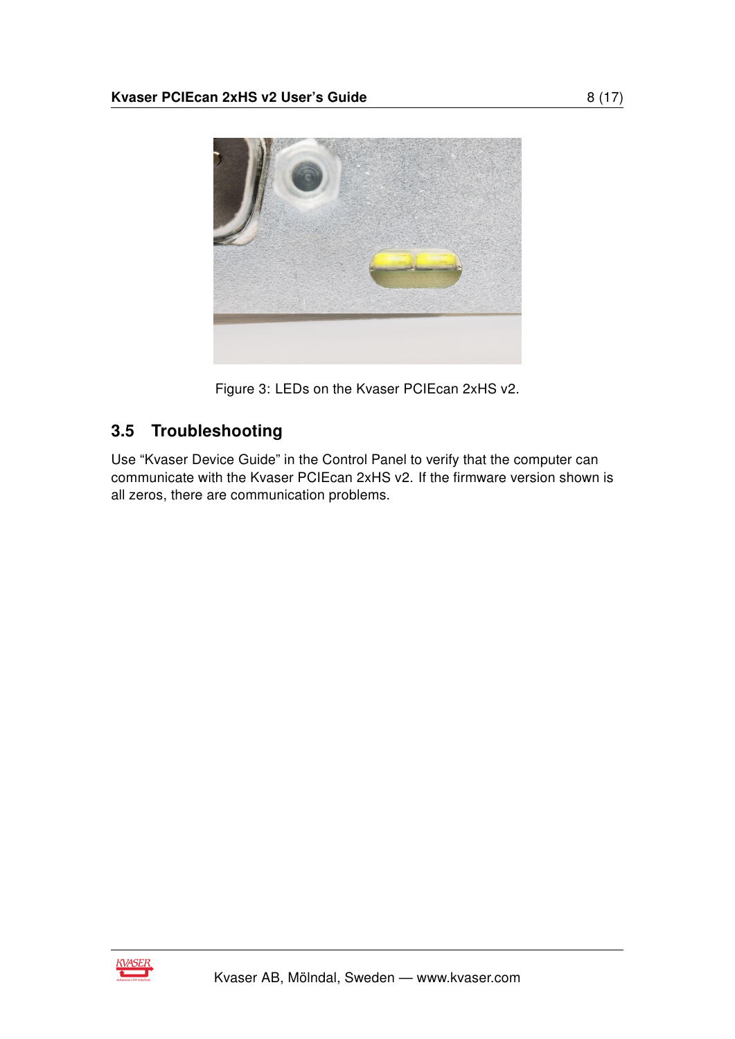

Figure 3: LEDs on the Kvaser PCIEcan 2xHS v2.

## <span id="page-7-0"></span>3.5 Troubleshooting

Use "Kvaser Device Guide" in the Control Panel to verify that the computer can communicate with the Kvaser PCIEcan 2xHS v2. If the firmware version shown is all zeros, there are communication problems.

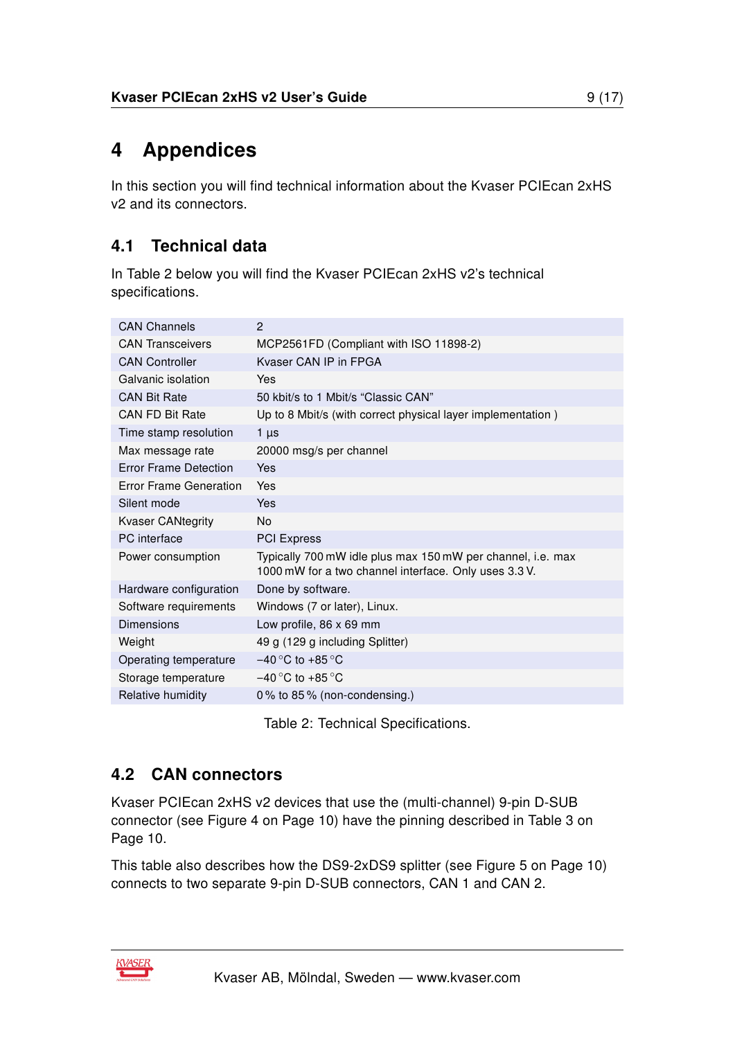# <span id="page-8-0"></span>4 Appendices

In this section you will find technical information about the Kvaser PCIEcan 2xHS v2 and its connectors.

### <span id="page-8-1"></span>4.1 Technical data

In [Table 2](#page-8-3) below you will find the Kvaser PCIEcan 2xHS v2's technical specifications.

| <b>CAN Channels</b>           | 2                                                                                                                    |  |  |  |
|-------------------------------|----------------------------------------------------------------------------------------------------------------------|--|--|--|
| <b>CAN Transceivers</b>       | MCP2561FD (Compliant with ISO 11898-2)                                                                               |  |  |  |
| <b>CAN Controller</b>         | Kvaser CAN IP in FPGA                                                                                                |  |  |  |
| Galvanic isolation            | Yes                                                                                                                  |  |  |  |
| <b>CAN Bit Rate</b>           | 50 kbit/s to 1 Mbit/s "Classic CAN"                                                                                  |  |  |  |
| <b>CAN FD Bit Rate</b>        | Up to 8 Mbit/s (with correct physical layer implementation)                                                          |  |  |  |
| Time stamp resolution         | $1 \mu s$                                                                                                            |  |  |  |
| Max message rate              | 20000 msg/s per channel                                                                                              |  |  |  |
| Error Frame Detection         | Yes                                                                                                                  |  |  |  |
| <b>Error Frame Generation</b> | Yes                                                                                                                  |  |  |  |
| Silent mode                   | Yes                                                                                                                  |  |  |  |
| <b>Kvaser CANtegrity</b>      | No.                                                                                                                  |  |  |  |
| PC interface                  | <b>PCI Express</b>                                                                                                   |  |  |  |
| Power consumption             | Typically 700 mW idle plus max 150 mW per channel, i.e. max<br>1000 mW for a two channel interface. Only uses 3.3 V. |  |  |  |
| Hardware configuration        | Done by software.                                                                                                    |  |  |  |
| Software requirements         | Windows (7 or later), Linux.                                                                                         |  |  |  |
| Dimensions                    | Low profile, 86 x 69 mm                                                                                              |  |  |  |
| Weight                        | 49 g (129 g including Splitter)                                                                                      |  |  |  |
| Operating temperature         | $-40$ °C to +85 °C                                                                                                   |  |  |  |
| Storage temperature           | $-40\,^{\circ}\text{C}$ to +85 $^{\circ}\text{C}$                                                                    |  |  |  |
| Relative humidity             | 0% to 85% (non-condensing.)                                                                                          |  |  |  |

<span id="page-8-3"></span>Table 2: Technical Specifications.

### <span id="page-8-2"></span>4.2 CAN connectors

Kvaser PCIEcan 2xHS v2 devices that use the (multi-channel) 9-pin D-SUB connector (see [Figure 4 on Page 10\)](#page-9-0) have the pinning described in [Table 3 on](#page-9-1) [Page 10.](#page-9-1)

This table also describes how the DS9-2xDS9 splitter (see [Figure 5 on Page 10\)](#page-9-2) connects to two separate 9-pin D-SUB connectors, CAN 1 and CAN 2.

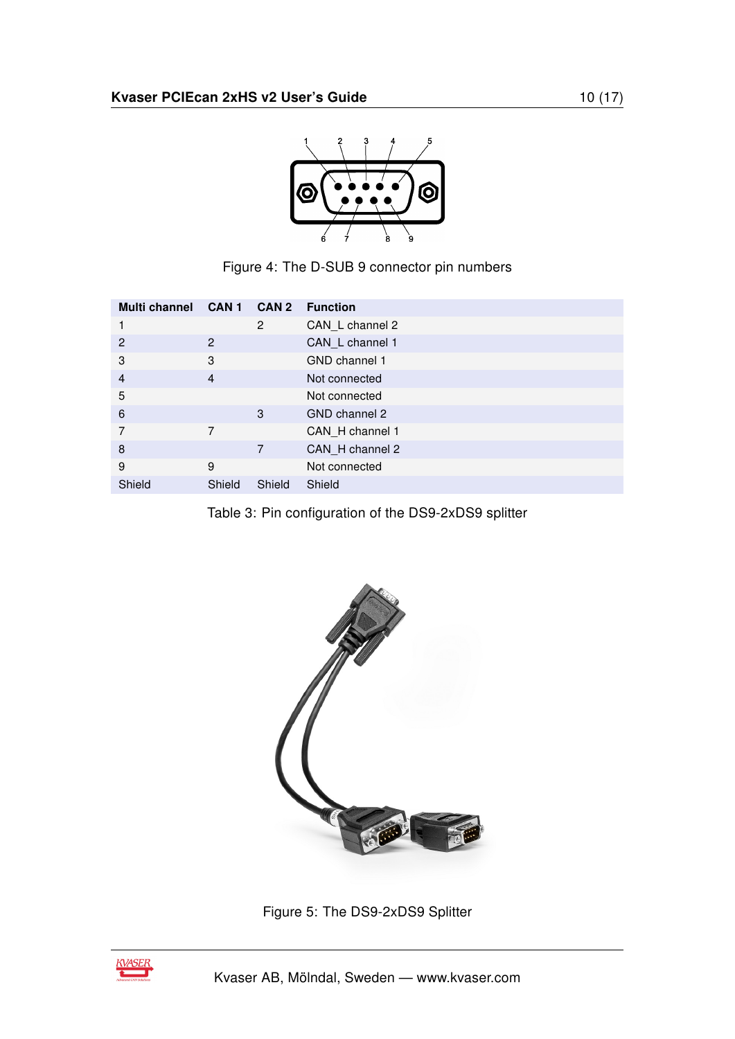

<span id="page-9-0"></span>Figure 4: The D-SUB 9 connector pin numbers

| Multi channel  | CAN <sub>1</sub> CAN <sub>2</sub> |        | <b>Function</b> |
|----------------|-----------------------------------|--------|-----------------|
|                |                                   | 2      | CAN L channel 2 |
| 2              | 2                                 |        | CAN_L channel 1 |
| 3              | 3                                 |        | GND channel 1   |
| $\overline{4}$ | 4                                 |        | Not connected   |
| 5              |                                   |        | Not connected   |
| 6              |                                   | 3      | GND channel 2   |
| 7              | 7                                 |        | CAN_H channel 1 |
| 8              |                                   | 7      | CAN H channel 2 |
| 9              | 9                                 |        | Not connected   |
| Shield         | Shield                            | Shield | Shield          |

<span id="page-9-1"></span>Table 3: Pin configuration of the DS9-2xDS9 splitter



<span id="page-9-2"></span>Figure 5: The DS9-2xDS9 Splitter

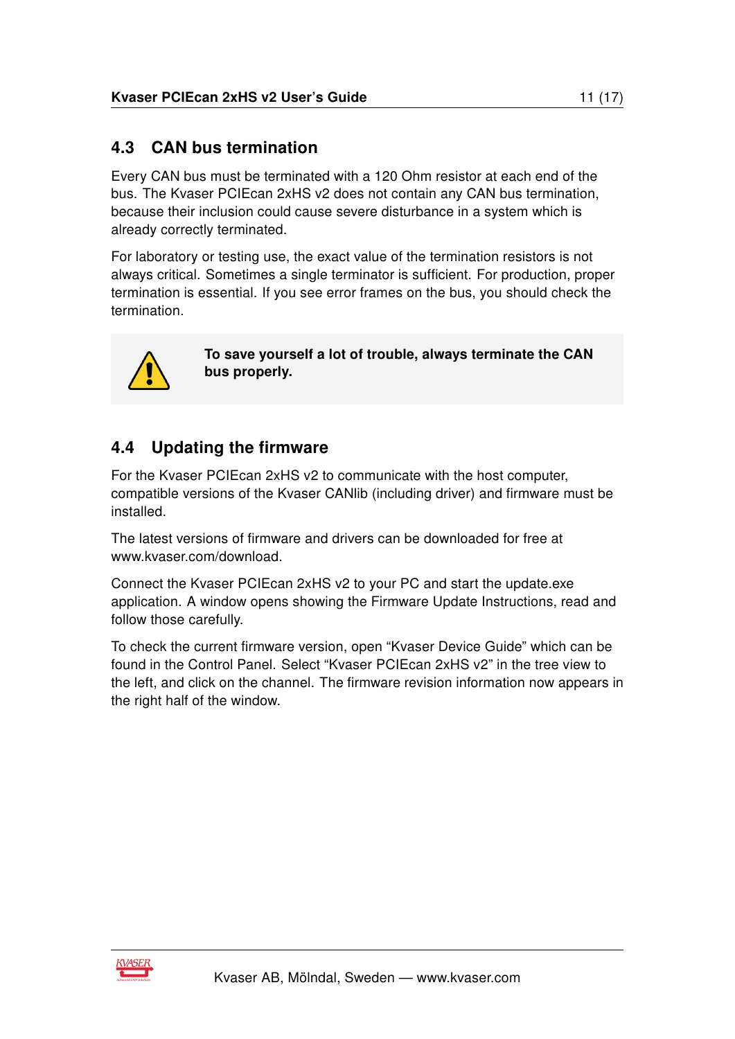#### <span id="page-10-0"></span>4.3 CAN bus termination

Every CAN bus must be terminated with a 120 Ohm resistor at each end of the bus. The Kvaser PCIEcan 2xHS v2 does not contain any CAN bus termination, because their inclusion could cause severe disturbance in a system which is already correctly terminated.

For laboratory or testing use, the exact value of the termination resistors is not always critical. Sometimes a single terminator is sufficient. For production, proper termination is essential. If you see error frames on the bus, you should check the termination.



To save yourself a lot of trouble, always terminate the CAN bus properly.

### <span id="page-10-1"></span>4.4 Updating the firmware

For the Kvaser PCIEcan 2xHS v2 to communicate with the host computer, compatible versions of the Kvaser CANlib (including driver) and firmware must be installed.

The latest versions of firmware and drivers can be downloaded for free at [www.kvaser.com/download.](https://www.kvaser.com/download/)

Connect the Kvaser PCIEcan 2xHS v2 to your PC and start the update.exe application. A window opens showing the Firmware Update Instructions, read and follow those carefully.

To check the current firmware version, open "Kvaser Device Guide" which can be found in the Control Panel. Select "Kvaser PCIEcan 2xHS v2" in the tree view to the left, and click on the channel. The firmware revision information now appears in the right half of the window.

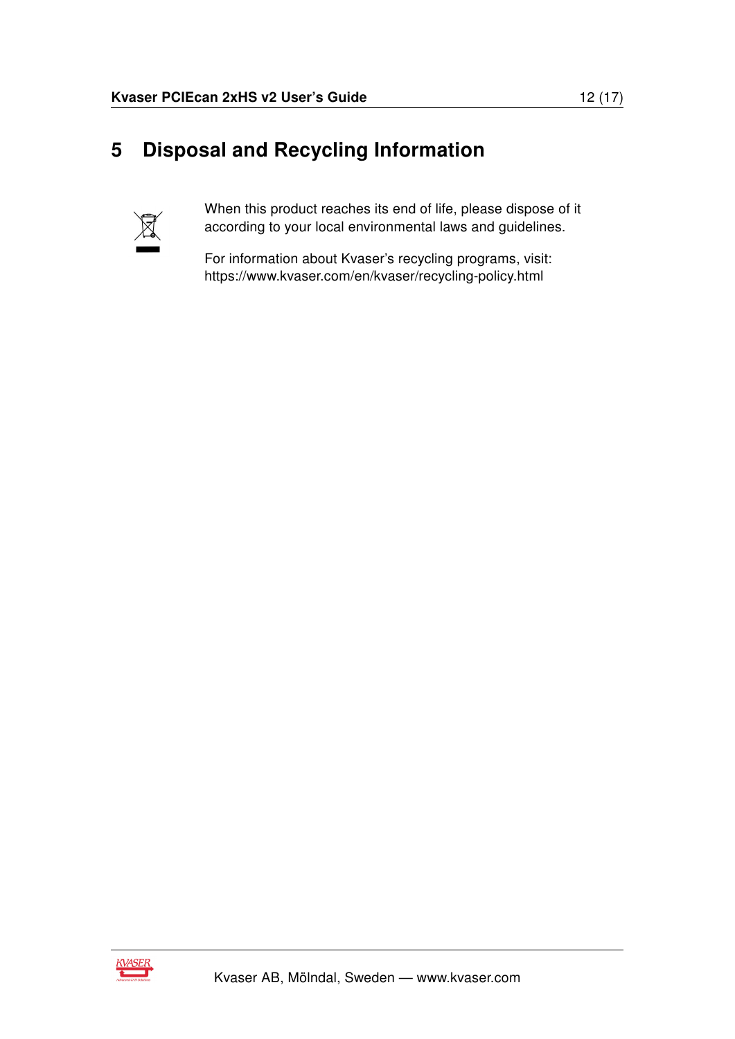# <span id="page-11-0"></span>5 Disposal and Recycling Information



When this product reaches its end of life, please dispose of it according to your local environmental laws and guidelines.

For information about Kvaser's recycling programs, visit: <https://www.kvaser.com/en/kvaser/recycling-policy.html>

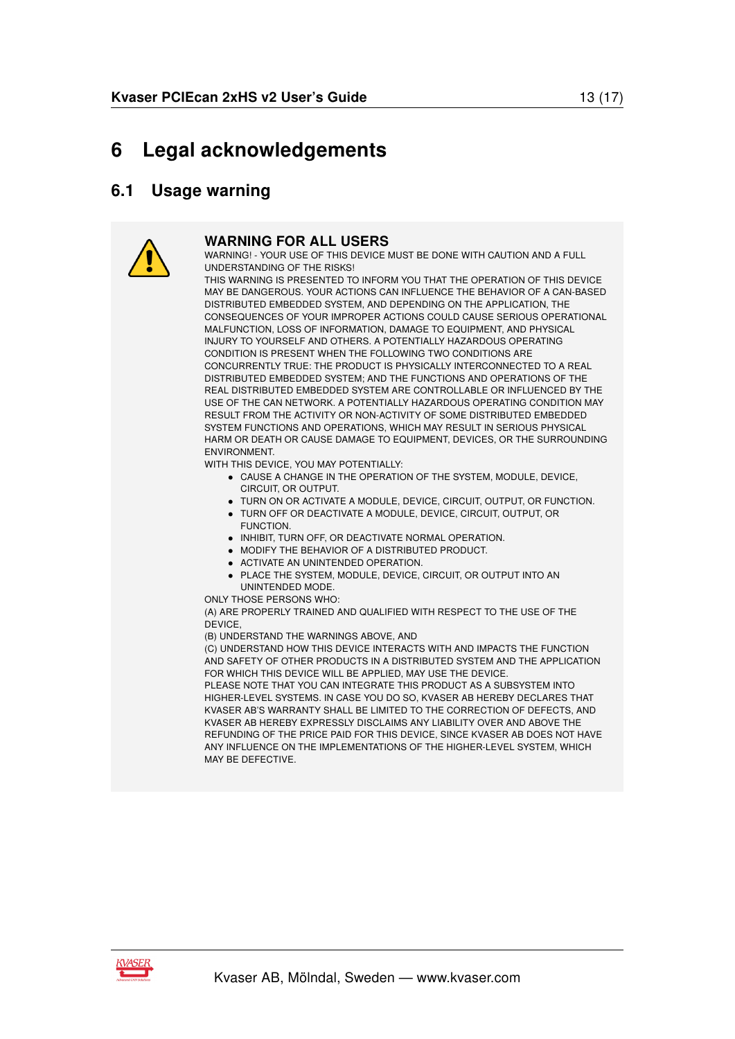# <span id="page-12-0"></span>6 Legal acknowledgements

#### <span id="page-12-1"></span>6.1 Usage warning



#### WARNING FOR ALL USERS

WARNING! - YOUR USE OF THIS DEVICE MUST BE DONE WITH CAUTION AND A FULL UNDERSTANDING OF THE RISKS!

THIS WARNING IS PRESENTED TO INFORM YOU THAT THE OPERATION OF THIS DEVICE MAY BE DANGEROUS. YOUR ACTIONS CAN INFLUENCE THE BEHAVIOR OF A CAN-BASED DISTRIBUTED EMBEDDED SYSTEM, AND DEPENDING ON THE APPLICATION, THE CONSEQUENCES OF YOUR IMPROPER ACTIONS COULD CAUSE SERIOUS OPERATIONAL MALFUNCTION, LOSS OF INFORMATION, DAMAGE TO EQUIPMENT, AND PHYSICAL INJURY TO YOURSELF AND OTHERS. A POTENTIALLY HAZARDOUS OPERATING CONDITION IS PRESENT WHEN THE FOLLOWING TWO CONDITIONS ARE CONCURRENTLY TRUE: THE PRODUCT IS PHYSICALLY INTERCONNECTED TO A REAL DISTRIBUTED EMBEDDED SYSTEM; AND THE FUNCTIONS AND OPERATIONS OF THE REAL DISTRIBUTED EMBEDDED SYSTEM ARE CONTROLLABLE OR INFLUENCED BY THE USE OF THE CAN NETWORK. A POTENTIALLY HAZARDOUS OPERATING CONDITION MAY RESULT FROM THE ACTIVITY OR NON-ACTIVITY OF SOME DISTRIBUTED EMBEDDED SYSTEM FUNCTIONS AND OPERATIONS, WHICH MAY RESULT IN SERIOUS PHYSICAL HARM OR DEATH OR CAUSE DAMAGE TO EQUIPMENT, DEVICES, OR THE SURROUNDING ENVIRONMENT.

WITH THIS DEVICE, YOU MAY POTENTIALLY:

- CAUSE A CHANGE IN THE OPERATION OF THE SYSTEM, MODULE, DEVICE, CIRCUIT, OR OUTPUT.
- TURN ON OR ACTIVATE A MODULE, DEVICE, CIRCUIT, OUTPUT, OR FUNCTION.
- TURN OFF OR DEACTIVATE A MODULE, DEVICE, CIRCUIT, OUTPUT, OR FUNCTION.
- INHIBIT, TURN OFF, OR DEACTIVATE NORMAL OPERATION.
- MODIFY THE BEHAVIOR OF A DISTRIBUTED PRODUCT.
- ACTIVATE AN UNINTENDED OPERATION.
- PLACE THE SYSTEM, MODULE, DEVICE, CIRCUIT, OR OUTPUT INTO AN UNINTENDED MODE.

ONLY THOSE PERSONS WHO:

(A) ARE PROPERLY TRAINED AND QUALIFIED WITH RESPECT TO THE USE OF THE DEVICE,

(B) UNDERSTAND THE WARNINGS ABOVE, AND

(C) UNDERSTAND HOW THIS DEVICE INTERACTS WITH AND IMPACTS THE FUNCTION AND SAFETY OF OTHER PRODUCTS IN A DISTRIBUTED SYSTEM AND THE APPLICATION FOR WHICH THIS DEVICE WILL BE APPLIED, MAY USE THE DEVICE.

PLEASE NOTE THAT YOU CAN INTEGRATE THIS PRODUCT AS A SUBSYSTEM INTO HIGHER-LEVEL SYSTEMS. IN CASE YOU DO SO, KVASER AB HEREBY DECLARES THAT KVASER AB'S WARRANTY SHALL BE LIMITED TO THE CORRECTION OF DEFECTS, AND KVASER AB HEREBY EXPRESSLY DISCLAIMS ANY LIABILITY OVER AND ABOVE THE REFUNDING OF THE PRICE PAID FOR THIS DEVICE, SINCE KVASER AB DOES NOT HAVE ANY INFLUENCE ON THE IMPLEMENTATIONS OF THE HIGHER-LEVEL SYSTEM, WHICH MAY BE DEFECTIVE.

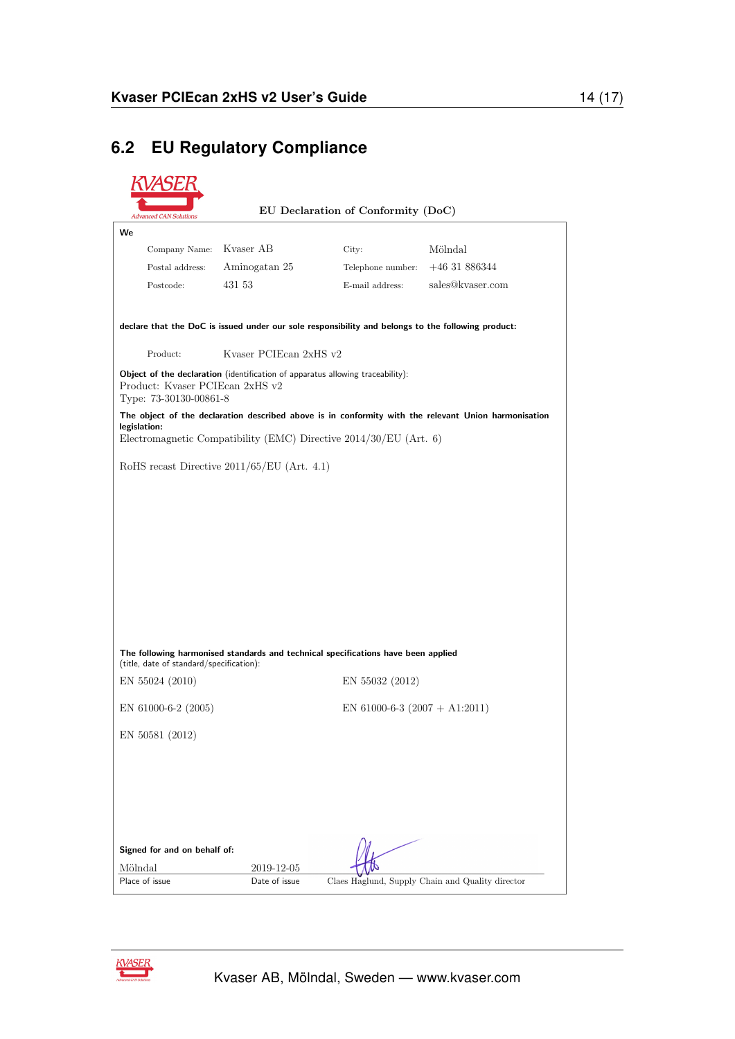## <span id="page-13-0"></span>6.2 EU Regulatory Compliance

| <b>Advanced CAN Solutions</b>                             |                                                                                | EU Declaration of Conformity (DoC)                                                                 |                                                                                                      |
|-----------------------------------------------------------|--------------------------------------------------------------------------------|----------------------------------------------------------------------------------------------------|------------------------------------------------------------------------------------------------------|
| We                                                        |                                                                                |                                                                                                    |                                                                                                      |
| Company Name:                                             | Kvaser AB                                                                      | City:                                                                                              | Mölndal                                                                                              |
| Postal address:                                           | Aminogatan 25                                                                  | $\!$ Telephone number:                                                                             | $+46$ 31 886344                                                                                      |
| Postcode:                                                 | 431 53                                                                         | E-mail address:                                                                                    | sales@kvaser.com                                                                                     |
|                                                           |                                                                                | declare that the DoC is issued under our sole responsibility and belongs to the following product: |                                                                                                      |
| Product:                                                  | Kvaser PCIEcan 2xHS v2                                                         |                                                                                                    |                                                                                                      |
| Product: Kvaser PCIEcan 2xHS v2<br>Type: 73-30130-00861-8 | Object of the declaration (identification of apparatus allowing traceability): |                                                                                                    |                                                                                                      |
| legislation:                                              |                                                                                |                                                                                                    | The object of the declaration described above is in conformity with the relevant Union harmonisation |
|                                                           |                                                                                | Electromagnetic Compatibility (EMC) Directive 2014/30/EU (Art. 6)                                  |                                                                                                      |
|                                                           | RoHS recast Directive 2011/65/EU (Art. 4.1)                                    |                                                                                                    |                                                                                                      |
|                                                           |                                                                                |                                                                                                    |                                                                                                      |
|                                                           |                                                                                |                                                                                                    |                                                                                                      |
|                                                           |                                                                                |                                                                                                    |                                                                                                      |
|                                                           |                                                                                |                                                                                                    |                                                                                                      |
|                                                           |                                                                                |                                                                                                    |                                                                                                      |
|                                                           |                                                                                |                                                                                                    |                                                                                                      |
|                                                           |                                                                                |                                                                                                    |                                                                                                      |
|                                                           |                                                                                |                                                                                                    |                                                                                                      |
|                                                           |                                                                                |                                                                                                    |                                                                                                      |
| (title, date of standard/specification):                  |                                                                                | The following harmonised standards and technical specifications have been applied                  |                                                                                                      |
| EN 55024 (2010)                                           |                                                                                | EN 55032 (2012)                                                                                    |                                                                                                      |
| EN 61000-6-2 $(2005)$                                     |                                                                                | EN 61000-6-3 $(2007 + A1:2011)$                                                                    |                                                                                                      |
| EN 50581 (2012)                                           |                                                                                |                                                                                                    |                                                                                                      |
|                                                           |                                                                                |                                                                                                    |                                                                                                      |
|                                                           |                                                                                |                                                                                                    |                                                                                                      |
|                                                           |                                                                                |                                                                                                    |                                                                                                      |
|                                                           |                                                                                |                                                                                                    |                                                                                                      |
|                                                           |                                                                                |                                                                                                    |                                                                                                      |
| Signed for and on behalf of:                              |                                                                                |                                                                                                    |                                                                                                      |
|                                                           |                                                                                |                                                                                                    |                                                                                                      |
| Mölndal                                                   | 2019-12-05                                                                     |                                                                                                    |                                                                                                      |

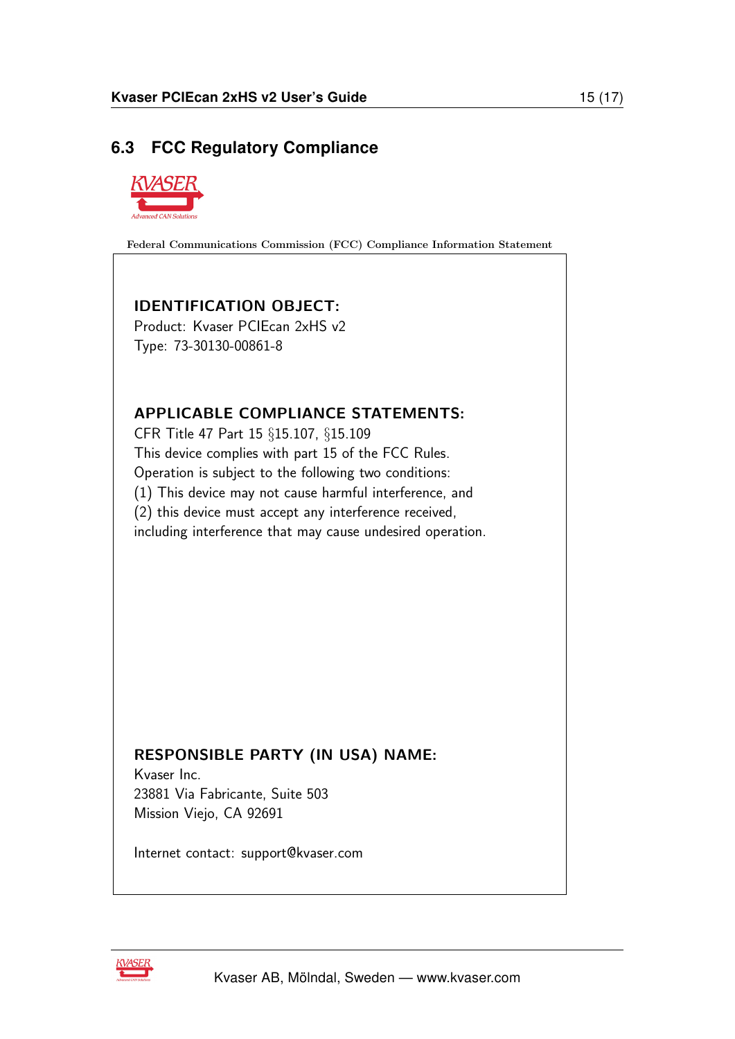### <span id="page-14-0"></span>6.3 FCC Regulatory Compliance



Federal Communications Commission (FCC) Compliance Information Statement

#### IDENTIFICATION OBJECT:

Product: Kvaser PCIEcan 2xHS v2 Type: 73-30130-00861-8

#### APPLICABLE COMPLIANCE STATEMENTS:

CFR Title 47 Part 15 §15.107, §15.109 This device complies with part 15 of the FCC Rules. Operation is subject to the following two conditions: (1) This device may not cause harmful interference, and (2) this device must accept any interference received, including interference that may cause undesired operation.

#### RESPONSIBLE PARTY (IN USA) NAME:

Kvaser Inc. 23881 Via Fabricante, Suite 503 Mission Viejo, CA 92691

Internet contact: support@kvaser.com

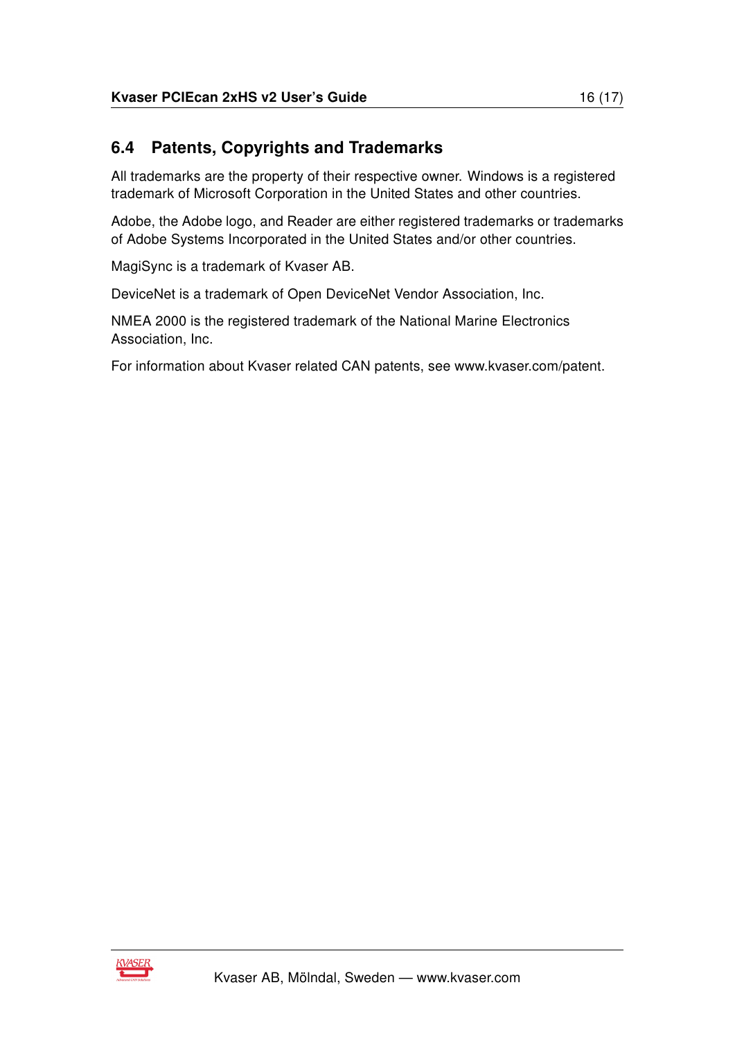### <span id="page-15-0"></span>6.4 Patents, Copyrights and Trademarks

All trademarks are the property of their respective owner. Windows is a registered trademark of Microsoft Corporation in the United States and other countries.

Adobe, the Adobe logo, and Reader are either registered trademarks or trademarks of Adobe Systems Incorporated in the United States and/or other countries.

MagiSync is a trademark of Kvaser AB.

DeviceNet is a trademark of Open DeviceNet Vendor Association, Inc.

NMEA 2000 is the registered trademark of the National Marine Electronics Association, Inc.

For information about Kvaser related CAN patents, see [www.kvaser.com/patent.](https://www.kvaser.com/patent/)